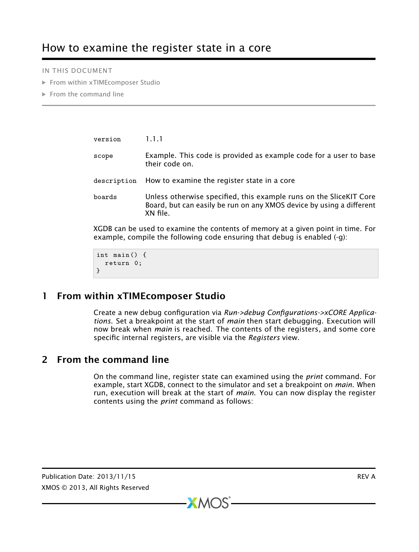IN THIS DOCUMENT

- · [From within xTIMEcomposer Studio](#page-0-0)
- $\blacktriangleright$  [From the command line](#page-0-1)

| version                                                                                                                                                         | 1.1.1                                                                                                                                                  |
|-----------------------------------------------------------------------------------------------------------------------------------------------------------------|--------------------------------------------------------------------------------------------------------------------------------------------------------|
| scope                                                                                                                                                           | Example. This code is provided as example code for a user to base<br>their code on.                                                                    |
| description                                                                                                                                                     | How to examine the register state in a core                                                                                                            |
| boards                                                                                                                                                          | Unless otherwise specified, this example runs on the SliceKIT Core<br>Board, but can easily be run on any XMOS device by using a different<br>XN file. |
| XGDB can be used to examine the contents of memory at a given point in time. For<br>example, compile the following code ensuring that debug is enabled $(-q)$ : |                                                                                                                                                        |

```
int main () {
  return 0;
}
```
## 1 From within xTIMEcomposer Studio

<span id="page-0-0"></span>Create a new debug configuration via *Run->debug Configurations->xCORE Applications*. Set a breakpoint at the start of *main* then start debugging. Execution will now break when *main* is reached. The contents of the registers, and some core specific internal registers, are visible via the *Registers* view.

## 2 From the command line

<span id="page-0-1"></span>On the command line, register state can examined using the *print* command. For example, start XGDB, connect to the simulator and set a breakpoint on *main*. When run, execution will break at the start of *main*. You can now display the register contents using the *print* command as follows:

 $X$ M $(S)$